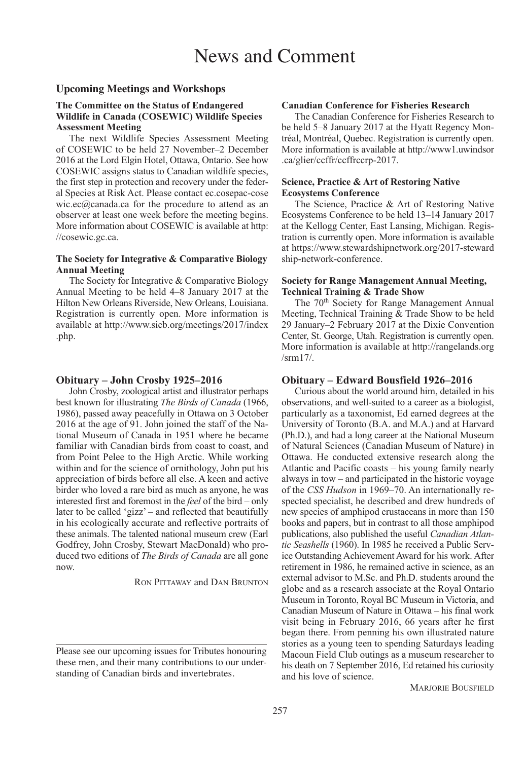# News and Comment

### **Upcoming Meetings and Workshops**

#### **The Committee on the Status of Endangered Wildlife in Canada (COSEWIC) Wildlife Species Assessment Meeting**

The next Wildlife Species Assessment Meeting of COSEWIC to be held 27 November–2 December 2016 at the Lord Elgin Hotel, Ottawa, Ontario. See how COSEWIC assigns status to Canadian wildlife species, the first step in protection and recovery under the federal Species at Risk Act. Please contact ec.cosepac-cose wic.ec@canada.ca for the procedure to attend as an observer at least one week before the meeting begins. More information about COSEWIC is available at http: //cosewic.gc.ca.

### **The Society for Integrative & Comparative Biology Annual Meeting**

The Society for Integrative & Comparative Biology Annual Meeting to be held 4–8 January 2017 at the Hilton New Orleans Riverside, New Orleans, Louisiana. Registration is currently open. More information is available at http://www.sicb.org/meetings/2017/index .php.

#### **Obituary – John Crosby 1925–2016**

John Crosby, zoological artist and illustrator perhaps best known for illustrating *The Birds of Canada* (1966, 1986), passed away peacefully in Ottawa on 3 October 2016 at the age of 91. John joined the staff of the National Museum of Canada in 1951 where he became familiar with Canadian birds from coast to coast, and from Point Pelee to the High Arctic. While working within and for the science of ornithology, John put his appreciation of birds before all else. A keen and active birder who loved a rare bird as much as anyone, he was interested first and foremost in the *feel* of the bird – only later to be called 'gizz' – and reflected that beautifully in his ecologically accurate and reflective portraits of these animals. The talented national museum crew (Earl Godfrey, John Crosby, Stewart MacDonald) who produced two editions of *The Birds of Canada* are all gone now.

RON PITTAWAY and DAN BRUNTON

## **Canadian Conference for Fisheries Research**

The Canadian Conference for Fisheries Research to be held 5–8 January 2017 at the Hyatt Regency Montréal, Montréal, Quebec. Registration is currently open. More information is available at http://www1.uwindsor .ca/glier/ccffr/ccffrccrp-2017.

## **Science, Practice & Art of Restoring Native Ecosystems Conference**

The Science, Practice & Art of Restoring Native Ecosystems Conference to be held 13–14 January 2017 at the Kellogg Center, East Lansing, Michigan. Registration is currently open. More information is available at https://www.stewardshipnetwork.org/2017-steward ship-network-conference.

## **Society for Range Management Annual Meeting, Technical Training & Trade Show**

The 70<sup>th</sup> Society for Range Management Annual Meeting, Technical Training & Trade Show to be held 29 January–2 February 2017 at the Dixie Convention Center, St. George, Utah. Registration is currently open. More information is available at http://rangelands.org /srm17/.

#### **Obituary – Edward Bousfield 1926–2016**

Curious about the world around him, detailed in his observations, and well-suited to a career as a biologist, particularly as a taxonomist, Ed earned degrees at the University of Toronto (B.A. and M.A.) and at Harvard (Ph.D.), and had a long career at the National Museum of Natural Sciences (Canadian Museum of Nature) in Ottawa. He conducted extensive research along the Atlantic and Pacific coasts – his young family nearly always in tow – and participated in the historic voyage of the *CSS Hudson* in 1969–70. An internationally respected specialist, he described and drew hundreds of new species of amphipod crustaceans in more than 150 books and papers, but in contrast to all those amphipod publications, also published the useful *Canadian Atlantic Seashells* (1960). In 1985 he received a Public Service Outstanding Achievement Award for his work. After retirement in 1986, he remained active in science, as an external advisor to M.Sc. and Ph.D. students around the globe and as a research associate at the Royal Ontario Museum in Toronto, Royal BC Museum in Victoria, and Canadian Museum of Nature in Ottawa – his final work visit being in February 2016, 66 years after he first began there. From penning his own illustrated nature stories as a young teen to spending Saturdays leading Macoun Field Club outings as a museum researcher to his death on 7 September 2016, Ed retained his curiosity and his love of science.

MARJORIE BOUSFIELD

Please see our upcoming issues for Tributes honouring these men, and their many contributions to our understanding of Canadian birds and invertebrates.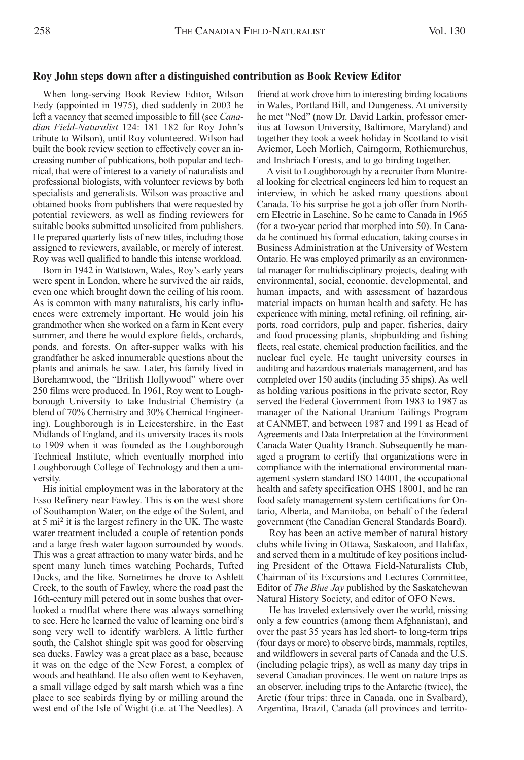## **Roy John steps down after a distinguished contribution as Book Review Editor**

When long-serving Book Review Editor, Wilson Eedy (appointed in 1975), died suddenly in 2003 he left a vacancy that seemed impossible to fill (see *Canadian Field-Naturalist* 124: 181–182 for Roy John's tribute to Wilson), until Roy volunteered. Wilson had built the book review section to effectively cover an increasing number of publications, both popular and technical, that were of interest to a variety of naturalists and professional biologists, with volunteer reviews by both specialists and generalists. Wilson was proactive and obtained books from publishers that were requested by potential reviewers, as well as finding reviewers for suitable books submitted unsolicited from publishers. He prepared quarterly lists of new titles, including those assigned to reviewers, available, or merely of interest. Roy was well qualified to handle this intense workload.

Born in 1942 in Wattstown, Wales, Roy's early years were spent in London, where he survived the air raids, even one which brought down the ceiling of his room. As is common with many naturalists, his early influences were extremely important. He would join his grandmother when she worked on a farm in Kent every summer, and there he would explore fields, orchards, ponds, and forests. On after-supper walks with his grandfather he asked innumerable questions about the plants and animals he saw. Later, his family lived in Borehamwood, the "British Hollywood" where over 250 films were produced. In 1961, Roy went to Loughborough University to take Industrial Chemistry (a blend of 70% Chemistry and 30% Chemical Engineering). Loughborough is in Leicestershire, in the East Midlands of England, and its university traces its roots to 1909 when it was founded as the Loughborough Technical Institute, which eventually morphed into Loughborough College of Technology and then a university.

His initial employment was in the laboratory at the Esso Refinery near Fawley. This is on the west shore of Southampton Water, on the edge of the Solent, and at 5 mi <sup>2</sup> it is the largest refinery in the UK. The waste water treatment included a couple of retention ponds and a large fresh water lagoon surrounded by woods. This was a great attraction to many water birds, and he spent many lunch times watching Pochards, Tufted Ducks, and the like. Sometimes he drove to Ashlett Creek, to the south of Fawley, where the road past the 16th-century mill petered out in some bushes that overlooked a mudflat where there was always something to see. Here he learned the value of learning one bird's song very well to identify warblers. A little further south, the Calshot shingle spit was good for observing sea ducks. Fawley was a great place as a base, because it was on the edge of the New Forest, a complex of woods and heathland. He also often went to Keyhaven, a small village edged by salt marsh which was a fine place to see seabirds flying by or milling around the west end of the Isle of Wight (i.e. at The Needles). A friend at work drove him to interesting birding locations in Wales, Portland Bill, and Dungeness. At university he met "Ned" (now Dr. David Larkin, professor emeritus at Towson University, Baltimore, Maryland) and together they took a week holiday in Scotland to visit Aviemor, Loch Morlich, Cairngorm, Rothiemurchus, and Inshriach Forests, and to go birding together.

A visit to Loughborough by a recruiter from Montreal looking for electrical engineers led him to request an interview, in which he asked many questions about Canada. To his surprise he got a job offer from Northern Electric in Laschine. So he came to Canada in 1965 (for a two-year period that morphed into 50). In Canada he continued his formal education, taking courses in Business Administration at the University of Western Ontario. He was employed primarily as an environmental manager for multidisciplinary projects, dealing with environmental, social, economic, developmental, and human impacts, and with assessment of hazardous material impacts on human health and safety. He has experience with mining, metal refining, oil refining, airports, road corridors, pulp and paper, fisheries, dairy and food processing plants, shipbuilding and fishing fleets, real estate, chemical production facilities, and the nuclear fuel cycle. He taught university courses in auditing and hazardous materials management, and has completed over 150 audits (including 35 ships). As well as holding various positions in the private sector, Roy served the Federal Government from 1983 to 1987 as manager of the National Uranium Tailings Program at CANMET, and between 1987 and 1991 as Head of Agreements and Data Interpretation at the Environment Canada Water Quality Branch. Subsequently he managed a program to certify that organizations were in compliance with the international environmental management system standard ISO 14001, the occupational health and safety specification OHS 18001, and he ran food safety management system certifications for Ontario, Alberta, and Manitoba, on behalf of the federal government (the Canadian General Standards Board).

Roy has been an active member of natural history clubs while living in Ottawa, Saskatoon, and Halifax, and served them in a multitude of key positions including President of the Ottawa Field-Naturalists Club, Chairman of its Excursions and Lectures Committee, Editor of *The Blue Jay* published by the Saskatchewan Natural History Society, and editor of OFO News.

He has traveled extensively over the world, missing only a few countries (among them Afghanistan), and over the past 35 years has led short- to long-term trips (four days or more) to observe birds, mammals, reptiles, and wildflowers in several parts of Canada and the U.S. (including pelagic trips), as well as many day trips in several Canadian provinces. He went on nature trips as an observer, including trips to the Antarctic (twice), the Arctic (four trips: three in Canada, one in Svalbard), Argentina, Brazil, Canada (all provinces and territo